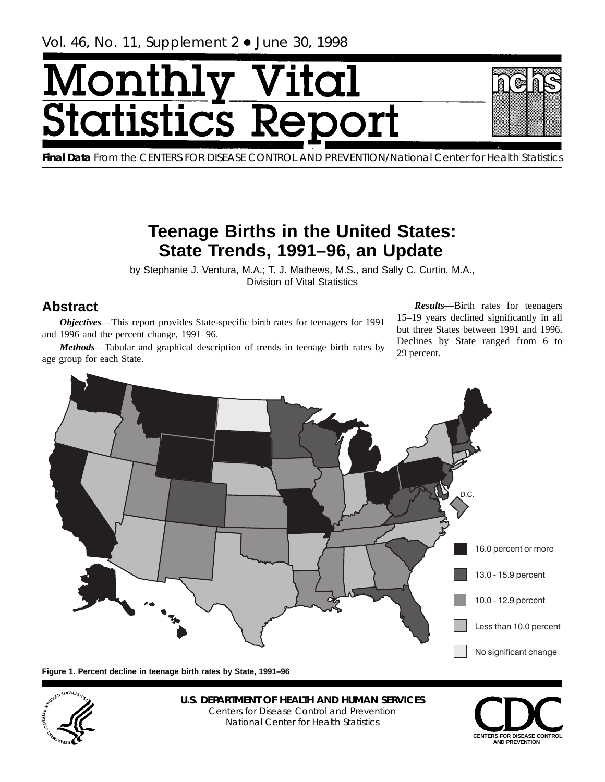# <span id="page-0-0"></span><u>Monthl</u> y Vital **Statistics Re**



**Final Data** From the CENTERS FOR DISEASE CONTROL AND PREVENTION/National Center for Health Statistics

# **Teenage Births in the United States: State Trends, 1991–96, an Update**

by Stephanie J. Ventura, M.A.; T. J. Mathews, M.S., and Sally C. Curtin, M.A., Division of Vital Statistics

# **Abstract**

*Objectives*—This report provides State-specific birth rates for teenagers for 1991 and 1996 and the percent change, 1991–96.

*Methods*—Tabular and graphical description of trends in teenage birth rates by age group for each State.

*Results*—Birth rates for teenagers 15–19 years declined significantly in all but three States between 1991 and 1996. Declines by State ranged from 6 to 29 percent.



**Figure 1. Percent decline in teenage birth rates by State, 1991–96**



**U.S. DEPARTMENT OF HEALTH AND HUMAN SERVICES** Centers for Disease Control and Prevention National Center for Health Statistics

**CENTERS FOR DISEASE CONTROL AND PREVENTION**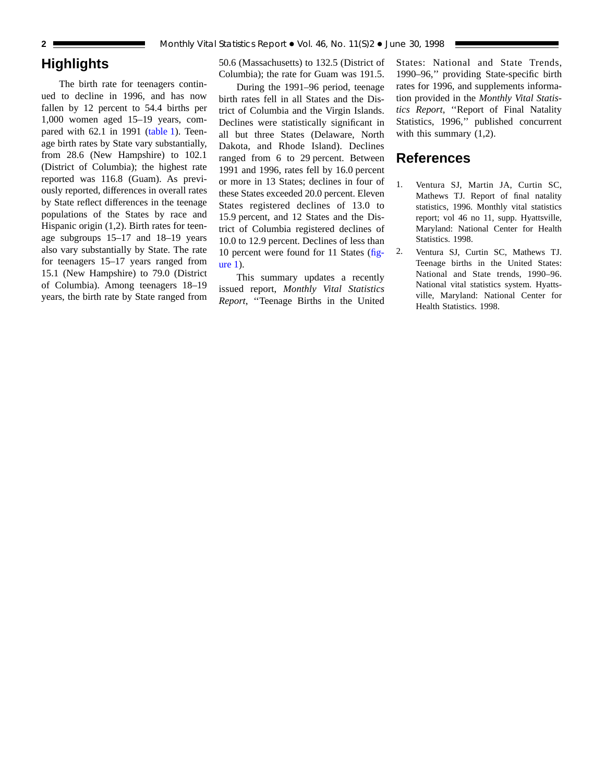## **Highlights**

The birth rate for teenagers continued to decline in 1996, and has now fallen by 12 percent to 54.4 births per 1,000 women aged 15–19 years, compared with 62.1 in 19[91 \(table 1\). T](#page-2-0)eenage birth rates by State vary substantially, from 28.6 (New Hampshire) to 102.1 (District of Columbia); the highest rate reported was 116.8 (Guam). As previously reported, differences in overall rates by State reflect differences in the teenage populations of the States by race and Hispanic origin (1,2). Birth rates for teenage subgroups 15–17 and 18–19 years also vary substantially by State. The rate for teenagers 15–17 years ranged from 15.1 (New Hampshire) to 79.0 (District of Columbia). Among teenagers 18–19 years, the birth rate by State ranged from 50.6 (Massachusetts) to 132.5 (District of Columbia); the rate for Guam was 191.5.

During the 1991–96 period, teenage birth rates fell in all States and the District of Columbia and the Virgin Islands. Declines were statistically significant in all but three States (Delaware, North Dakota, and Rhode Island). Declines ranged from 6 to 29 percent. Between 1991 and 1996, rates fell by 16.0 percent or more in 13 States; declines in four of these States exceeded 20.0 percent. Eleven States registered declines of 13.0 to 15.9 percent, and 12 States and the District of Columbia registered declines of 10.0 to 12.9 percent. Declines of less than 10 percent were found for 11 States [\(fig](#page-0-0)[ure 1\).](#page-0-0)

This summary updates a recently issued report, *Monthly Vital Statistics Report*, ''Teenage Births in the United

States: National and State Trends, 1990–96,'' providing State-specific birth rates for 1996, and supplements information provided in the *Monthly Vital Statistics Report*, ''Report of Final Natality Statistics, 1996,'' published concurrent with this summary  $(1,2)$ .

### **References**

- 1. Ventura SJ, Martin JA, Curtin SC, Mathews TJ. Report of final natality statistics, 1996. Monthly vital statistics report; vol 46 no 11, supp. Hyattsville, Maryland: National Center for Health Statistics. 1998.
- 2. Ventura SJ, Curtin SC, Mathews TJ. Teenage births in the United States: National and State trends, 1990–96. National vital statistics system. Hyattsville, Maryland: National Center for Health Statistics. 1998.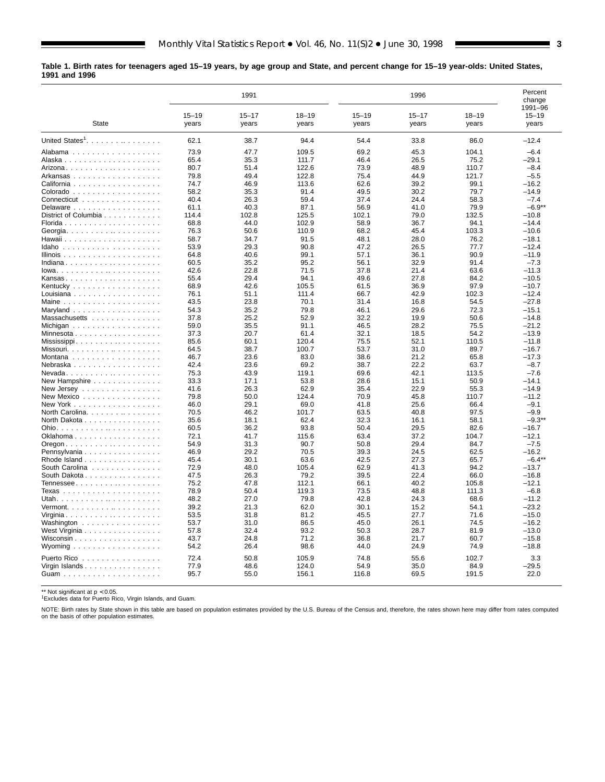<span id="page-2-0"></span>**Table 1. Birth rates for teenagers aged 15–19 years, by age group and State, and percent change for 15–19 year-olds: United States, 1991 and 1996**

|                                                                            | 1991      |           |           | 1996      |           |           | Percent<br>change<br>1991-96 |
|----------------------------------------------------------------------------|-----------|-----------|-----------|-----------|-----------|-----------|------------------------------|
|                                                                            | $15 - 19$ | $15 - 17$ | $18 - 19$ | $15 - 19$ | $15 - 17$ | $18 - 19$ | $15 - 19$                    |
| State                                                                      | years     | years     | years     | years     | years     | years     | years                        |
| United States <sup>1</sup> .                                               | 62.1      | 38.7      | 94.4      | 54.4      | 33.8      | 86.0      | $-12.4$                      |
| Alabama                                                                    | 73.9      | 47.7      | 109.5     | 69.2      | 45.3      | 104.1     | $-6.4$                       |
|                                                                            | 65.4      | 35.3      | 111.7     | 46.4      | 26.5      | 75.2      | $-29.1$                      |
|                                                                            | 80.7      | 51.4      | 122.6     | 73.9      | 48.9      | 110.7     | $-8.4$                       |
| Arkansas                                                                   | 79.8      | 49.4      | 122.8     | 75.4      | 44.9      | 121.7     | $-5.5$                       |
| California                                                                 | 74.7      | 46.9      | 113.6     | 62.6      | 39.2      | 99.1      | $-16.2$                      |
| Colorado                                                                   | 58.2      | 35.3      | 91.4      | 49.5      | 30.2      | 79.7      | $-14.9$                      |
| Connecticut                                                                | 40.4      | 26.3      | 59.4      | 37.4      | 24.4      | 58.3      | $-7.4$                       |
| Delaware                                                                   | 61.1      | 40.3      | 87.1      | 56.9      | 41.0      | 79.9      | $-6.9**$                     |
| District of Columbia                                                       | 114.4     | 102.8     | 125.5     | 102.1     | 79.0      | 132.5     | $-10.8$                      |
|                                                                            | 68.8      | 44.0      | 102.9     | 58.9      | 36.7      | 94.1      | $-14.4$                      |
| Georgia                                                                    | 76.3      | 50.6      | 110.9     | 68.2      | 45.4      | 103.3     | $-10.6$                      |
|                                                                            | 58.7      | 34.7      | 91.5      | 48.1      | 28.0      | 76.2      | $-18.1$                      |
| Idaho                                                                      | 53.9      | 29.3      | 90.8      | 47.2      | 26.5      | 77.7      | $-12.4$                      |
|                                                                            | 64.8      | 40.6      | 99.1      | 57.1      | 36.1      | 90.9      | $-11.9$                      |
| Indiana                                                                    | 60.5      | 35.2      | 95.2      | 56.1      | 32.9      | 91.4      | $-7.3$                       |
| $lowa.$                                                                    | 42.6      | 22.8      | 71.5      | 37.8      | 21.4      | 63.6      | $-11.3$                      |
| Kansas                                                                     | 55.4      | 29.4      | 94.1      | 49.6      | 27.8      | 84.2      | $-10.5$                      |
| Kentucky                                                                   | 68.9      | 42.6      | 105.5     | 61.5      | 36.9      | 97.9      | $-10.7$                      |
| Louisiana                                                                  | 76.1      | 51.1      | 111.4     | 66.7      | 42.9      | 102.3     | $-12.4$                      |
|                                                                            | 43.5      | 23.8      | 70.1      | 31.4      | 16.8      | 54.5      | $-27.8$                      |
| Maryland $\ldots \ldots \ldots \ldots \ldots$                              | 54.3      | 35.2      | 79.8      | 46.1      | 29.6      | 72.3      | $-15.1$                      |
| Massachusetts                                                              | 37.8      | 25.2      | 52.9      | 32.2      | 19.9      | 50.6      | $-14.8$                      |
| Michigan                                                                   | 59.0      | 35.5      | 91.1      | 46.5      | 28.2      | 75.5      | $-21.2$                      |
|                                                                            | 37.3      | 20.7      | 61.4      | 32.1      | 18.5      | 54.2      | $-13.9$                      |
| Mississippi                                                                | 85.6      | 60.1      | 120.4     | 75.5      | 52.1      | 110.5     | $-11.8$                      |
|                                                                            | 64.5      | 38.7      | 100.7     | 53.7      | 31.0      | 89.7      | $-16.7$                      |
| Montana                                                                    | 46.7      | 23.6      | 83.0      | 38.6      | 21.2      | 65.8      | $-17.3$                      |
| Nebraska                                                                   | 42.4      | 23.6      | 69.2      | 38.7      | 22.2      | 63.7      | $-8.7$                       |
| $N$ evada                                                                  | 75.3      | 43.9      | 119.1     | 69.6      | 42.1      | 113.5     | $-7.6$                       |
| New Hampshire                                                              | 33.3      | 17.1      | 53.8      | 28.6      | 15.1      | 50.9      | $-14.1$                      |
| New Jersey $\ldots \ldots \ldots \ldots \ldots$                            | 41.6      | 26.3      | 62.9      | 35.4      | 22.9      | 55.3      | $-14.9$                      |
| New Mexico                                                                 | 79.8      | 50.0      | 124.4     | 70.9      | 45.8      | 110.7     | $-11.2$                      |
| New York                                                                   | 46.0      | 29.1      | 69.0      | 41.8      | 25.6      | 66.4      | $-9.1$                       |
| North Carolina.                                                            | 70.5      | 46.2      | 101.7     | 63.5      | 40.8      | 97.5      | $-9.9$                       |
| North Dakota                                                               | 35.6      | 18.1      | 62.4      | 32.3      | 16.1      | 58.1      | $-9.3**$                     |
|                                                                            | 60.5      | 36.2      | 93.8      | 50.4      | 29.5      | 82.6      | $-16.7$                      |
| Oklahoma                                                                   | 72.1      | 41.7      | 115.6     | 63.4      | 37.2      | 104.7     | $-12.1$                      |
| $O$ regon $\ldots$ $\ldots$ $\ldots$ $\ldots$ $\ldots$ $\ldots$ $\ldots$ . | 54.9      | 31.3      | 90.7      | 50.8      | 29.4      | 84.7      | $-7.5$                       |
|                                                                            | 46.9      | 29.2      | 70.5      | 39.3      | 24.5      | 62.5      | $-16.2$                      |
| Pennsylvania<br>Rhode Island                                               | 45.4      | 30.1      | 63.6      | 42.5      | 27.3      | 65.7      | $-6.4***$                    |
| South Carolina                                                             | 72.9      | 48.0      | 105.4     | 62.9      | 41.3      | 94.2      | $-13.7$                      |
|                                                                            | 47.5      | 26.3      | 79.2      | 39.5      | 22.4      | 66.0      | $-16.8$                      |
| South Dakota                                                               | 75.2      | 47.8      | 112.1     | 66.1      | 40.2      | 105.8     | $-12.1$                      |
| Tennessee                                                                  | 78.9      | 50.4      | 119.3     | 73.5      | 48.8      | 111.3     | $-6.8$                       |
|                                                                            | 48.2      | 27.0      | 79.8      | 42.8      | 24.3      | 68.6      | $-11.2$                      |
|                                                                            |           |           |           |           |           |           |                              |
| $Vermont. \ldots \ldots \ldots \ldots \ldots$                              | 39.2      | 21.3      | 62.0      | 30.1      | 15.2      | 54.1      | $-23.2$                      |
| Virginia                                                                   | 53.5      | 31.8      | 81.2      | 45.5      | 27.7      | 71.6      | $-15.0$                      |
| Washington                                                                 | 53.7      | 31.0      | 86.5      | 45.0      | 26.1      | 74.5      | $-16.2$                      |
| West Virginia                                                              | 57.8      | 32.4      | 93.2      | 50.3      | 28.7      | 81.9      | $-13.0$                      |
| Wisconsin                                                                  | 43.7      | 24.8      | 71.2      | 36.8      | 21.7      | 60.7      | $-15.8$                      |
| Wyoming $\ldots \ldots \ldots \ldots \ldots$                               | 54.2      | 26.4      | 98.6      | 44.0      | 24.9      | 74.9      | $-18.8$                      |
| Puerto Rico                                                                | 72.4      | 50.8      | 105.9     | 74.8      | 55.6      | 102.7     | 3.3                          |
| Virgin Islands                                                             | 77.9      | 48.6      | 124.0     | 54.9      | 35.0      | 84.9      | $-29.5$                      |
|                                                                            | 95.7      | 55.0      | 156.1     | 116.8     | 69.5      | 191.5     | 22.0                         |
|                                                                            |           |           |           |           |           |           |                              |

\*\* Not significant at  $p < 0.05$ .<br><sup>1</sup>Excludes data for Puerto Rico, Virgin Islands, and Guam.

NOTE: Birth rates by State shown in this table are based on population estimates provided by the U.S. Bureau of the Census and, therefore, the rates shown here may differ from rates computed<br>on the basis of other populatio